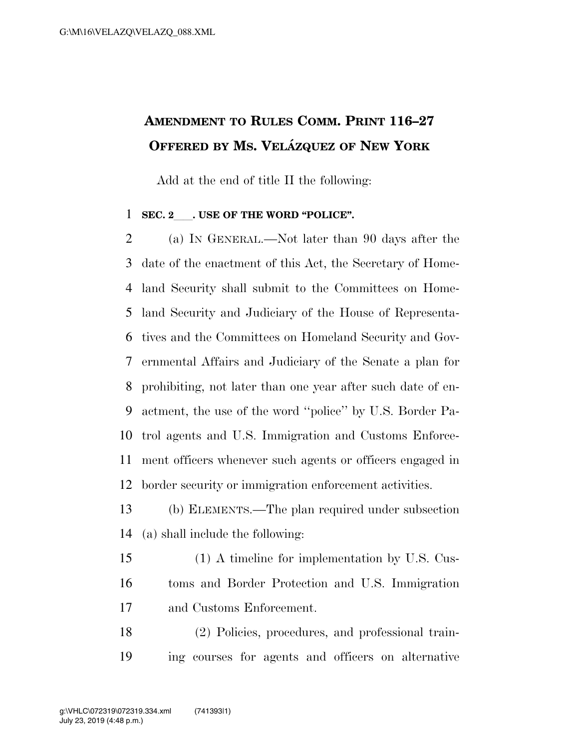## **AMENDMENT TO RULES COMM. PRINT 116–27 OFFERED BY MS. VELA´ ZQUEZ OF NEW YORK**

Add at the end of title II the following:

## **SEC. 2 . USE OF THE WORD "POLICE".**

 (a) IN GENERAL.—Not later than 90 days after the date of the enactment of this Act, the Secretary of Home- land Security shall submit to the Committees on Home- land Security and Judiciary of the House of Representa- tives and the Committees on Homeland Security and Gov- ernmental Affairs and Judiciary of the Senate a plan for prohibiting, not later than one year after such date of en- actment, the use of the word ''police'' by U.S. Border Pa- trol agents and U.S. Immigration and Customs Enforce- ment officers whenever such agents or officers engaged in border security or immigration enforcement activities.

- (b) ELEMENTS.—The plan required under subsection (a) shall include the following:
- (1) A timeline for implementation by U.S. Cus- toms and Border Protection and U.S. Immigration and Customs Enforcement.
- (2) Policies, procedures, and professional train-ing courses for agents and officers on alternative